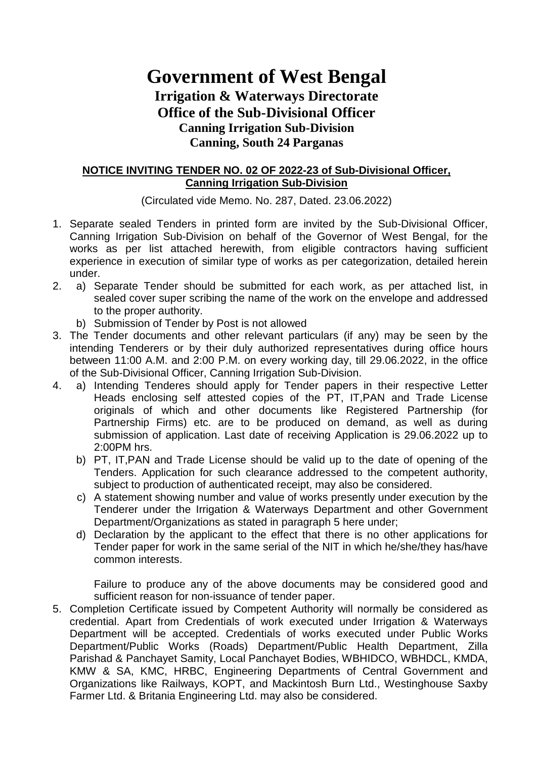# **Government of West Bengal Irrigation & Waterways Directorate Office of the Sub-Divisional Officer Canning Irrigation Sub-Division Canning, South 24 Parganas**

### **NOTICE INVITING TENDER NO. 02 OF 2022-23 of Sub-Divisional Officer, Canning Irrigation Sub-Division**

(Circulated vide Memo. No. 287, Dated. 23.06.2022)

- 1. Separate sealed Tenders in printed form are invited by the Sub-Divisional Officer, Canning Irrigation Sub-Division on behalf of the Governor of West Bengal, for the works as per list attached herewith, from eligible contractors having sufficient experience in execution of similar type of works as per categorization, detailed herein under.
- 2. a) Separate Tender should be submitted for each work, as per attached list, in sealed cover super scribing the name of the work on the envelope and addressed to the proper authority.
	- b) Submission of Tender by Post is not allowed
- 3. The Tender documents and other relevant particulars (if any) may be seen by the intending Tenderers or by their duly authorized representatives during office hours between 11:00 A.M. and 2:00 P.M. on every working day, till 29.06.2022, in the office of the Sub-Divisional Officer, Canning Irrigation Sub-Division.
- 4. a) Intending Tenderes should apply for Tender papers in their respective Letter Heads enclosing self attested copies of the PT, IT,PAN and Trade License originals of which and other documents like Registered Partnership (for Partnership Firms) etc. are to be produced on demand, as well as during submission of application. Last date of receiving Application is 29.06.2022 up to 2:00PM hrs.
	- b) PT, IT,PAN and Trade License should be valid up to the date of opening of the Tenders. Application for such clearance addressed to the competent authority, subject to production of authenticated receipt, may also be considered.
	- c) A statement showing number and value of works presently under execution by the Tenderer under the Irrigation & Waterways Department and other Government Department/Organizations as stated in paragraph 5 here under;
	- d) Declaration by the applicant to the effect that there is no other applications for Tender paper for work in the same serial of the NIT in which he/she/they has/have common interests.

 Failure to produce any of the above documents may be considered good and sufficient reason for non-issuance of tender paper.

 5. Completion Certificate issued by Competent Authority will normally be considered as credential. Apart from Credentials of work executed under Irrigation & Waterways Department will be accepted. Credentials of works executed under Public Works Department/Public Works (Roads) Department/Public Health Department, Zilla Parishad & Panchayet Samity, Local Panchayet Bodies, WBHIDCO, WBHDCL, KMDA, KMW & SA, KMC, HRBC, Engineering Departments of Central Government and Organizations like Railways, KOPT, and Mackintosh Burn Ltd., Westinghouse Saxby Farmer Ltd. & Britania Engineering Ltd. may also be considered.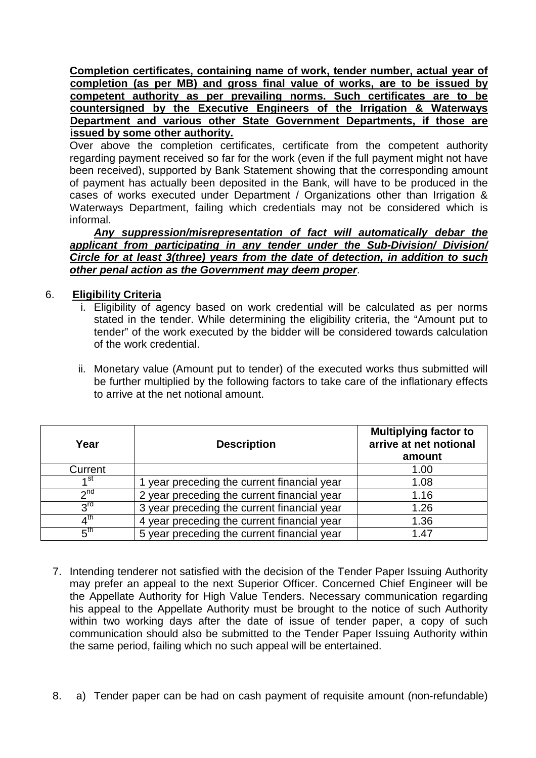**Completion certificates, containing name of work, tender number, actual year of completion (as per MB) and gross final value of works, are to be issued by competent authority as per prevailing norms. Such certificates are to be countersigned by the Executive Engineers of the Irrigation & Waterways Department and various other State Government Departments, if those are issued by some other authority.**

 Over above the completion certificates, certificate from the competent authority regarding payment received so far for the work (even if the full payment might not have been received), supported by Bank Statement showing that the corresponding amount of payment has actually been deposited in the Bank, will have to be produced in the cases of works executed under Department / Organizations other than Irrigation & Waterways Department, failing which credentials may not be considered which is informal.

 **Any suppression/misrepresentation of fact will automatically debar the applicant from participating in any tender under the Sub-Division/ Division/ Circle for at least 3(three) years from the date of detection, in addition to such other penal action as the Government may deem proper**.

### 6. **Eligibility Criteria**

- i. Eligibility of agency based on work credential will be calculated as per norms stated in the tender. While determining the eligibility criteria, the "Amount put to tender" of the work executed by the bidder will be considered towards calculation of the work credential.
- ii. Monetary value (Amount put to tender) of the executed works thus submitted will be further multiplied by the following factors to take care of the inflationary effects to arrive at the net notional amount.

| Year            | <b>Description</b>                          | <b>Multiplying factor to</b><br>arrive at net notional<br>amount |  |  |  |
|-----------------|---------------------------------------------|------------------------------------------------------------------|--|--|--|
| Current         |                                             | 1.00                                                             |  |  |  |
| ⊿st             | 1 year preceding the current financial year | 1.08                                                             |  |  |  |
| 2 <sup>nd</sup> | 2 year preceding the current financial year | 1.16                                                             |  |  |  |
| $2^{\text{rd}}$ | 3 year preceding the current financial year | 1.26                                                             |  |  |  |
| ⊿th             | 4 year preceding the current financial year | 1.36                                                             |  |  |  |
| $5^{\text{th}}$ | 5 year preceding the current financial year | 1.47                                                             |  |  |  |

- 7. Intending tenderer not satisfied with the decision of the Tender Paper Issuing Authority may prefer an appeal to the next Superior Officer. Concerned Chief Engineer will be the Appellate Authority for High Value Tenders. Necessary communication regarding his appeal to the Appellate Authority must be brought to the notice of such Authority within two working days after the date of issue of tender paper, a copy of such communication should also be submitted to the Tender Paper Issuing Authority within the same period, failing which no such appeal will be entertained.
- 8. a) Tender paper can be had on cash payment of requisite amount (non-refundable)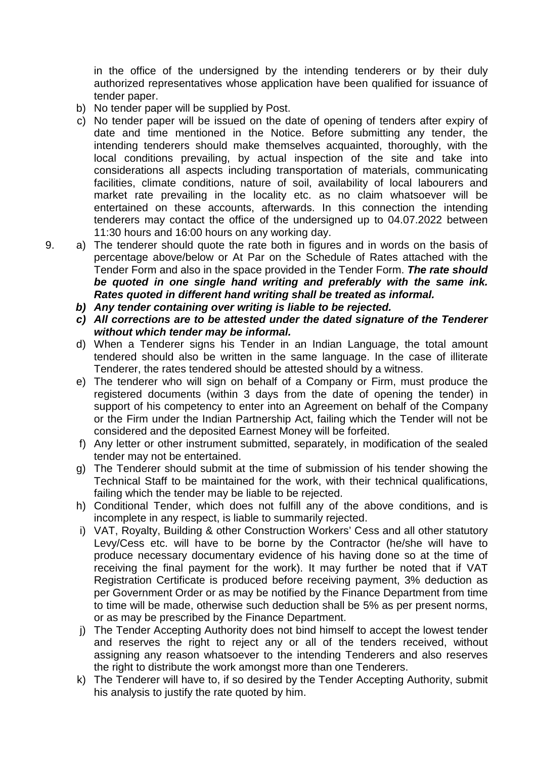in the office of the undersigned by the intending tenderers or by their duly authorized representatives whose application have been qualified for issuance of tender paper.

- b) No tender paper will be supplied by Post.
- c) No tender paper will be issued on the date of opening of tenders after expiry of date and time mentioned in the Notice. Before submitting any tender, the intending tenderers should make themselves acquainted, thoroughly, with the local conditions prevailing, by actual inspection of the site and take into considerations all aspects including transportation of materials, communicating facilities, climate conditions, nature of soil, availability of local labourers and market rate prevailing in the locality etc. as no claim whatsoever will be entertained on these accounts, afterwards. In this connection the intending tenderers may contact the office of the undersigned up to 04.07.2022 between 11:30 hours and 16:00 hours on any working day.

9. a) The tenderer should quote the rate both in figures and in words on the basis of percentage above/below or At Par on the Schedule of Rates attached with the Tender Form and also in the space provided in the Tender Form. **The rate should be quoted in one single hand writing and preferably with the same ink. Rates quoted in different hand writing shall be treated as informal.**

- **b) Any tender containing over writing is liable to be rejected.**
- **c) All corrections are to be attested under the dated signature of the Tenderer without which tender may be informal.**
- d) When a Tenderer signs his Tender in an Indian Language, the total amount tendered should also be written in the same language. In the case of illiterate Tenderer, the rates tendered should be attested should by a witness.
- e) The tenderer who will sign on behalf of a Company or Firm, must produce the registered documents (within 3 days from the date of opening the tender) in support of his competency to enter into an Agreement on behalf of the Company or the Firm under the Indian Partnership Act, failing which the Tender will not be considered and the deposited Earnest Money will be forfeited.
- f) Any letter or other instrument submitted, separately, in modification of the sealed tender may not be entertained.
- g) The Tenderer should submit at the time of submission of his tender showing the Technical Staff to be maintained for the work, with their technical qualifications, failing which the tender may be liable to be rejected.
- h) Conditional Tender, which does not fulfill any of the above conditions, and is incomplete in any respect, is liable to summarily rejected.
- i) VAT, Royalty, Building & other Construction Workers' Cess and all other statutory Levy/Cess etc. will have to be borne by the Contractor (he/she will have to produce necessary documentary evidence of his having done so at the time of receiving the final payment for the work). It may further be noted that if VAT Registration Certificate is produced before receiving payment, 3% deduction as per Government Order or as may be notified by the Finance Department from time to time will be made, otherwise such deduction shall be 5% as per present norms, or as may be prescribed by the Finance Department.
- j) The Tender Accepting Authority does not bind himself to accept the lowest tender and reserves the right to reject any or all of the tenders received, without assigning any reason whatsoever to the intending Tenderers and also reserves the right to distribute the work amongst more than one Tenderers.
- k) The Tenderer will have to, if so desired by the Tender Accepting Authority, submit his analysis to justify the rate quoted by him.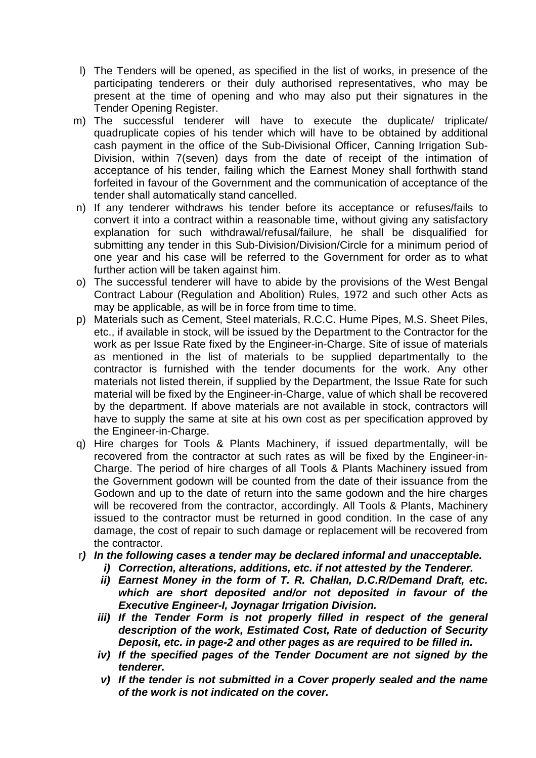- l) The Tenders will be opened, as specified in the list of works, in presence of the participating tenderers or their duly authorised representatives, who may be present at the time of opening and who may also put their signatures in the Tender Opening Register.
- m) The successful tenderer will have to execute the duplicate/ triplicate/ quadruplicate copies of his tender which will have to be obtained by additional cash payment in the office of the Sub-Divisional Officer, Canning Irrigation Sub-Division, within 7(seven) days from the date of receipt of the intimation of acceptance of his tender, failing which the Earnest Money shall forthwith stand forfeited in favour of the Government and the communication of acceptance of the tender shall automatically stand cancelled.
- n) If any tenderer withdraws his tender before its acceptance or refuses/fails to convert it into a contract within a reasonable time, without giving any satisfactory explanation for such withdrawal/refusal/failure, he shall be disqualified for submitting any tender in this Sub-Division/Division/Circle for a minimum period of one year and his case will be referred to the Government for order as to what further action will be taken against him.
- o) The successful tenderer will have to abide by the provisions of the West Bengal Contract Labour (Regulation and Abolition) Rules, 1972 and such other Acts as may be applicable, as will be in force from time to time.
- p) Materials such as Cement, Steel materials, R.C.C. Hume Pipes, M.S. Sheet Piles, etc., if available in stock, will be issued by the Department to the Contractor for the work as per Issue Rate fixed by the Engineer-in-Charge. Site of issue of materials as mentioned in the list of materials to be supplied departmentally to the contractor is furnished with the tender documents for the work. Any other materials not listed therein, if supplied by the Department, the Issue Rate for such material will be fixed by the Engineer-in-Charge, value of which shall be recovered by the department. If above materials are not available in stock, contractors will have to supply the same at site at his own cost as per specification approved by the Engineer-in-Charge.
- q) Hire charges for Tools & Plants Machinery, if issued departmentally, will be recovered from the contractor at such rates as will be fixed by the Engineer-in-Charge. The period of hire charges of all Tools & Plants Machinery issued from the Government godown will be counted from the date of their issuance from the Godown and up to the date of return into the same godown and the hire charges will be recovered from the contractor, accordingly. All Tools & Plants, Machinery issued to the contractor must be returned in good condition. In the case of any damage, the cost of repair to such damage or replacement will be recovered from the contractor.
- r**) In the following cases a tender may be declared informal and unacceptable.** 
	- **i) Correction, alterations, additions, etc. if not attested by the Tenderer.**
	- **ii) Earnest Money in the form of T. R. Challan, D.C.R/Demand Draft, etc. which are short deposited and/or not deposited in favour of the Executive Engineer-I, Joynagar Irrigation Division.**
	- **iii) If the Tender Form is not properly filled in respect of the general description of the work, Estimated Cost, Rate of deduction of Security Deposit, etc. in page-2 and other pages as are required to be filled in.**
	- **iv) If the specified pages of the Tender Document are not signed by the tenderer.**
	- **v) If the tender is not submitted in a Cover properly sealed and the name of the work is not indicated on the cover.**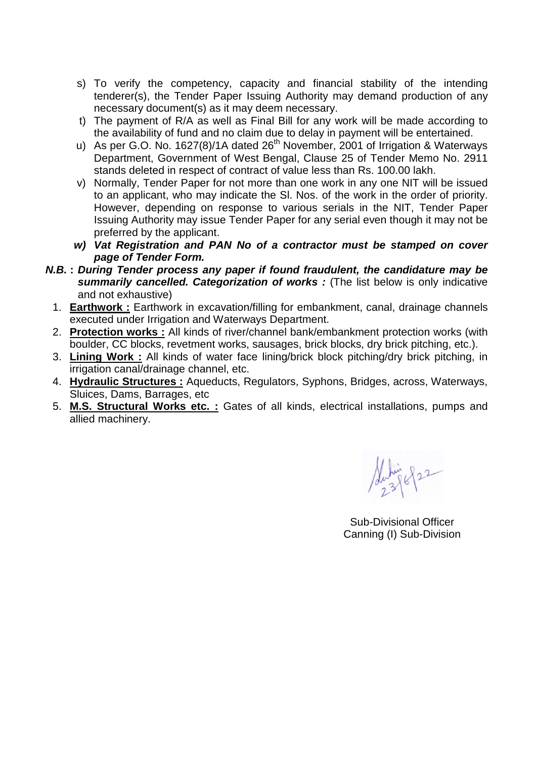- s) To verify the competency, capacity and financial stability of the intending tenderer(s), the Tender Paper Issuing Authority may demand production of any necessary document(s) as it may deem necessary.
- t) The payment of R/A as well as Final Bill for any work will be made according to the availability of fund and no claim due to delay in payment will be entertained.
- u) As per G.O. No. 1627(8)/1A dated  $26<sup>th</sup>$  November, 2001 of Irrigation & Waterways Department, Government of West Bengal, Clause 25 of Tender Memo No. 2911 stands deleted in respect of contract of value less than Rs. 100.00 lakh.
- v) Normally, Tender Paper for not more than one work in any one NIT will be issued to an applicant, who may indicate the Sl. Nos. of the work in the order of priority. However, depending on response to various serials in the NIT, Tender Paper Issuing Authority may issue Tender Paper for any serial even though it may not be preferred by the applicant.
- **w) Vat Registration and PAN No of a contractor must be stamped on cover page of Tender Form.**
- **N.B. : During Tender process any paper if found fraudulent, the candidature may be summarily cancelled. Categorization of works**: (The list below is only indicative and not exhaustive)
	- 1. **Earthwork :** Earthwork in excavation/filling for embankment, canal, drainage channels executed under Irrigation and Waterways Department.
	- 2. **Protection works :** All kinds of river/channel bank/embankment protection works (with boulder, CC blocks, revetment works, sausages, brick blocks, dry brick pitching, etc.).
	- 3. **Lining Work :** All kinds of water face lining/brick block pitching/dry brick pitching, in irrigation canal/drainage channel, etc.
	- 4. **Hydraulic Structures :** Aqueducts, Regulators, Syphons, Bridges, across, Waterways, Sluices, Dams, Barrages, etc
	- 5. **M.S. Structural Works etc. :** Gates of all kinds, electrical installations, pumps and allied machinery.

Subin 822

Sub-Divisional Officer Canning (I) Sub-Division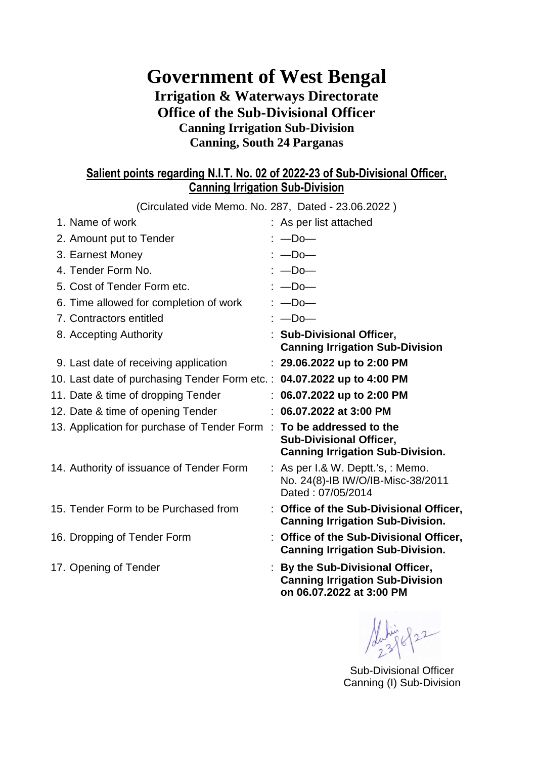# **Government of West Bengal Irrigation & Waterways Directorate Office of the Sub-Divisional Officer Canning Irrigation Sub-Division Canning, South 24 Parganas**

### **Salient points regarding N.I.T. No. 02 of 2022-23 of Sub-Divisional Officer, Canning Irrigation Sub-Division**

| (Circulated vide Memo. No. 287, Dated - 23.06.2022)                    |                                                                                                        |
|------------------------------------------------------------------------|--------------------------------------------------------------------------------------------------------|
| 1. Name of work                                                        | : As per list attached                                                                                 |
| 2. Amount put to Tender                                                | $: -Do -$                                                                                              |
| 3. Earnest Money                                                       | $: -Do -$                                                                                              |
| 4. Tender Form No.                                                     | $: -Do -$                                                                                              |
| 5. Cost of Tender Form etc.                                            | $: -$ Do $-$                                                                                           |
| 6. Time allowed for completion of work                                 | $: -$ Do $-$                                                                                           |
| 7. Contractors entitled                                                | $: -Do -$                                                                                              |
| 8. Accepting Authority                                                 | : Sub-Divisional Officer,<br><b>Canning Irrigation Sub-Division</b>                                    |
| 9. Last date of receiving application                                  | $: 29.06.2022$ up to 2:00 PM                                                                           |
| 10. Last date of purchasing Tender Form etc.: 04.07.2022 up to 4:00 PM |                                                                                                        |
| 11. Date & time of dropping Tender                                     | $: 06.07.2022$ up to 2:00 PM                                                                           |
| 12. Date & time of opening Tender                                      | $: 06.07.2022$ at 3:00 PM                                                                              |
| 13. Application for purchase of Tender Form                            | : To be addressed to the<br><b>Sub-Divisional Officer,</b><br><b>Canning Irrigation Sub-Division.</b>  |
| 14. Authority of issuance of Tender Form                               | : As per I.& W. Deptt.'s, : Memo.<br>No. 24(8)-IB IW/O/IB-Misc-38/2011<br>Dated: 07/05/2014            |
| 15. Tender Form to be Purchased from                                   | : Office of the Sub-Divisional Officer,<br><b>Canning Irrigation Sub-Division.</b>                     |
| 16. Dropping of Tender Form                                            | : Office of the Sub-Divisional Officer,<br><b>Canning Irrigation Sub-Division.</b>                     |
| 17. Opening of Tender                                                  | : By the Sub-Divisional Officer,<br><b>Canning Irrigation Sub-Division</b><br>on 06.07.2022 at 3:00 PM |

 $822$ 

Sub-Divisional Officer Canning (I) Sub-Division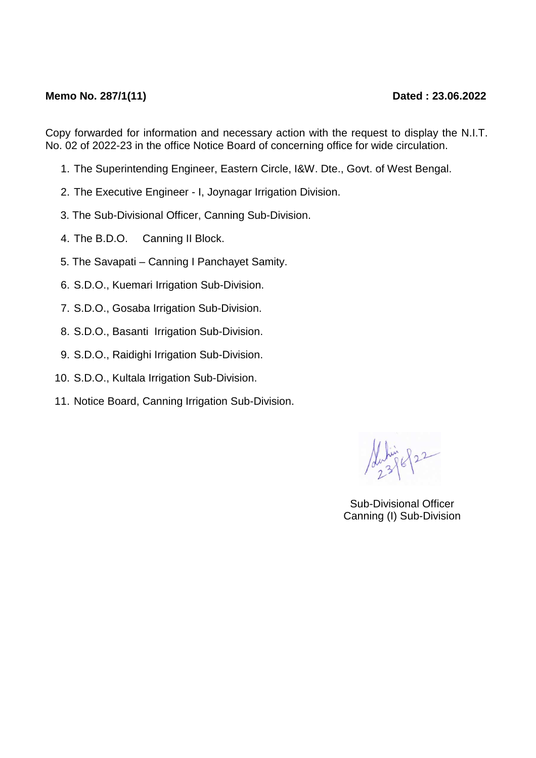#### **Memo No. 287/1(11)** Dated : 23.06.2022

Copy forwarded for information and necessary action with the request to display the N.I.T. No. 02 of 2022-23 in the office Notice Board of concerning office for wide circulation.

- 1. The Superintending Engineer, Eastern Circle, I&W. Dte., Govt. of West Bengal.
- 2. The Executive Engineer I, Joynagar Irrigation Division.
- 3. The Sub-Divisional Officer, Canning Sub-Division.
- 4. The B.D.O. Canning II Block.
- 5. The Savapati Canning I Panchayet Samity.
- 6. S.D.O., Kuemari Irrigation Sub-Division.
- 7. S.D.O., Gosaba Irrigation Sub-Division.
- 8. S.D.O., Basanti Irrigation Sub-Division.
- 9. S.D.O., Raidighi Irrigation Sub-Division.
- 10. S.D.O., Kultala Irrigation Sub-Division.
- 11. Notice Board, Canning Irrigation Sub-Division.

822

Sub-Divisional Officer Canning (I) Sub-Division